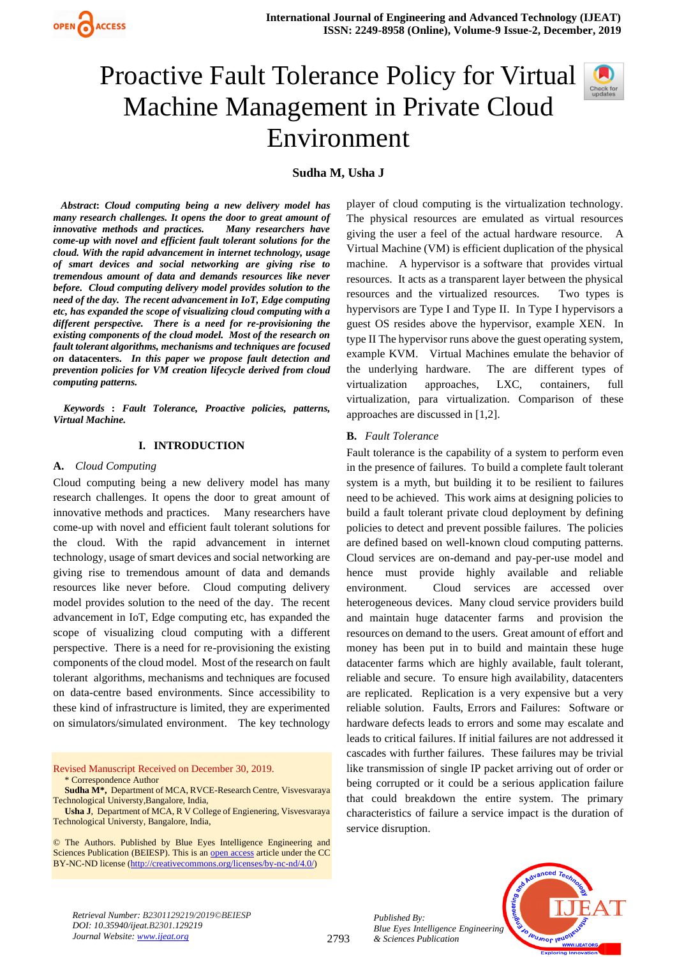

# Proactive Fault Tolerance Policy for Virtual Machine Management in Private Cloud Environment



# **Sudha M, Usha J**

 *Abstract***:** *Cloud computing being a new delivery model has many research challenges. It opens the door to great amount of innovative methods and practices. Many researchers have come-up with novel and efficient fault tolerant solutions for the cloud. With the rapid advancement in internet technology, usage of smart devices and social networking are giving rise to tremendous amount of data and demands resources like never before. Cloud computing delivery model provides solution to the need of the day. The recent advancement in IoT, Edge computing etc, has expanded the scope of visualizing cloud computing with a different perspective. There is a need for re-provisioning the existing components of the cloud model. Most of the research on fault tolerant algorithms, mechanisms and techniques are focused on* **datacenters.** *In this paper we propose fault detection and prevention policies for VM creation lifecycle derived from cloud computing patterns.*

 *Keywords* **:** *Fault Tolerance, Proactive policies, patterns, Virtual Machine.*

#### **I. INTRODUCTION**

#### **A.** *Cloud Computing*

Cloud computing being a new delivery model has many research challenges. It opens the door to great amount of innovative methods and practices. Many researchers have come-up with novel and efficient fault tolerant solutions for the cloud. With the rapid advancement in internet technology, usage of smart devices and social networking are giving rise to tremendous amount of data and demands resources like never before. Cloud computing delivery model provides solution to the need of the day. The recent advancement in IoT, Edge computing etc, has expanded the scope of visualizing cloud computing with a different perspective. There is a need for re-provisioning the existing components of the cloud model. Most of the research on fault tolerant algorithms, mechanisms and techniques are focused on data-centre based environments. Since accessibility to these kind of infrastructure is limited, they are experimented on simulators/simulated environment. The key technology

Revised Manuscript Received on December 30, 2019. \* Correspondence Author

**Sudha M\*,** Department of MCA, RVCE-Research Centre, Visvesvaraya Technological Universty,Bangalore, India,

**Usha J**, Department of MCA, R V College of Engienering, Visvesvaraya Technological Universty, Bangalore, India,

© The Authors. Published by Blue Eyes Intelligence Engineering and Sciences Publication (BEIESP). This is a[n open access](https://www.openaccess.nl/en/open-publications) article under the CC BY-NC-ND license [\(http://creativecommons.org/licenses/by-nc-nd/4.0/\)](http://creativecommons.org/licenses/by-nc-nd/4.0/)

player of cloud computing is the virtualization technology. The physical resources are emulated as virtual resources giving the user a feel of the actual hardware resource. A Virtual Machine (VM) is efficient duplication of the physical machine. A hypervisor is a software that provides virtual resources. It acts as a transparent layer between the physical resources and the virtualized resources. Two types is hypervisors are Type I and Type II. In Type I hypervisors a guest OS resides above the hypervisor, example XEN. In type II The hypervisor runs above the guest operating system, example KVM. Virtual Machines emulate the behavior of the underlying hardware. The are different types of virtualization approaches, LXC, containers, full virtualization, para virtualization. Comparison of these approaches are discussed in [1,2].

#### **B.** *Fault Tolerance*

Fault tolerance is the capability of a system to perform even in the presence of failures. To build a complete fault tolerant system is a myth, but building it to be resilient to failures need to be achieved. This work aims at designing policies to build a fault tolerant private cloud deployment by defining policies to detect and prevent possible failures. The policies are defined based on well-known cloud computing patterns. Cloud services are on-demand and pay-per-use model and hence must provide highly available and reliable environment. Cloud services are accessed over heterogeneous devices. Many cloud service providers build and maintain huge datacenter farms and provision the resources on demand to the users. Great amount of effort and money has been put in to build and maintain these huge datacenter farms which are highly available, fault tolerant, reliable and secure. To ensure high availability, datacenters are replicated. Replication is a very expensive but a very reliable solution. Faults, Errors and Failures: Software or hardware defects leads to errors and some may escalate and leads to critical failures. If initial failures are not addressed it cascades with further failures. These failures may be trivial like transmission of single IP packet arriving out of order or being corrupted or it could be a serious application failure that could breakdown the entire system. The primary characteristics of failure a service impact is the duration of service disruption.



*Published By: Blue Eyes Intelligence Engineering & Sciences Publication* 

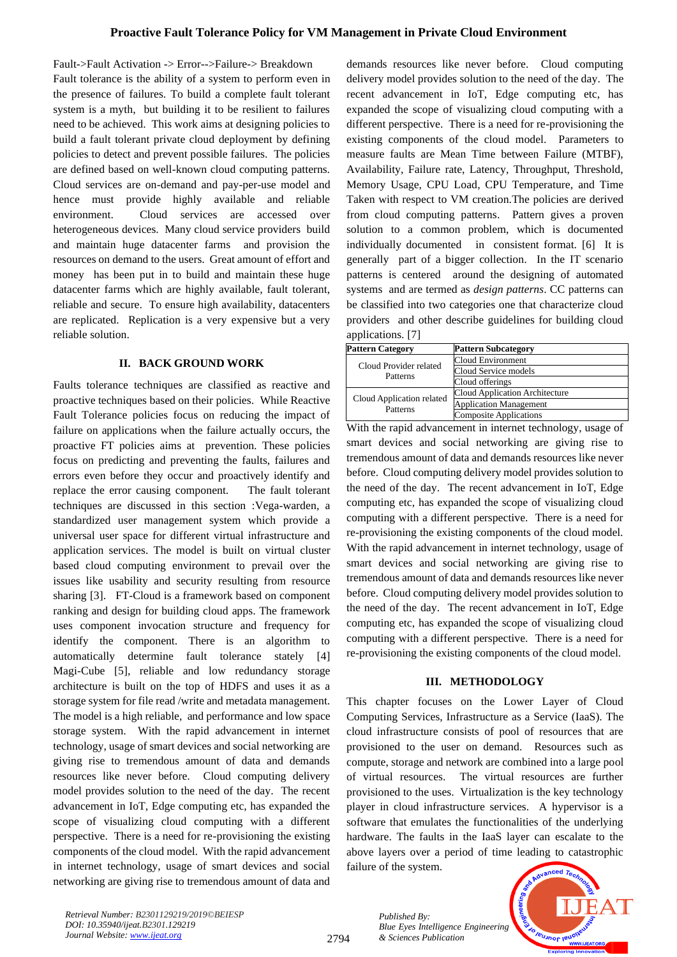Fault->Fault Activation -> Error-->Failure-> Breakdown Fault tolerance is the ability of a system to perform even in the presence of failures. To build a complete fault tolerant system is a myth, but building it to be resilient to failures need to be achieved. This work aims at designing policies to build a fault tolerant private cloud deployment by defining policies to detect and prevent possible failures. The policies are defined based on well-known cloud computing patterns. Cloud services are on-demand and pay-per-use model and hence must provide highly available and reliable environment. Cloud services are accessed over heterogeneous devices. Many cloud service providers build and maintain huge datacenter farms and provision the resources on demand to the users. Great amount of effort and money has been put in to build and maintain these huge datacenter farms which are highly available, fault tolerant, reliable and secure. To ensure high availability, datacenters are replicated. Replication is a very expensive but a very reliable solution.

## **II. BACK GROUND WORK**

Faults tolerance techniques are classified as reactive and proactive techniques based on their policies. While Reactive Fault Tolerance policies focus on reducing the impact of failure on applications when the failure actually occurs, the proactive FT policies aims at prevention. These policies focus on predicting and preventing the faults, failures and errors even before they occur and proactively identify and replace the error causing component. The fault tolerant techniques are discussed in this section :Vega-warden, a standardized user management system which provide a universal user space for different virtual infrastructure and application services. The model is built on virtual cluster based cloud computing environment to prevail over the issues like usability and security resulting from resource sharing [3]. FT-Cloud is a framework based on component ranking and design for building cloud apps. The framework uses component invocation structure and frequency for identify the component. There is an algorithm to automatically determine fault tolerance stately [4] Magi-Cube [5], reliable and low redundancy storage architecture is built on the top of HDFS and uses it as a storage system for file read /write and metadata management. The model is a high reliable, and performance and low space storage system. With the rapid advancement in internet technology, usage of smart devices and social networking are giving rise to tremendous amount of data and demands resources like never before. Cloud computing delivery model provides solution to the need of the day. The recent advancement in IoT, Edge computing etc, has expanded the scope of visualizing cloud computing with a different perspective. There is a need for re-provisioning the existing components of the cloud model. With the rapid advancement in internet technology, usage of smart devices and social networking are giving rise to tremendous amount of data and demands resources like never before. Cloud computing delivery model provides solution to the need of the day. The recent advancement in IoT, Edge computing etc, has expanded the scope of visualizing cloud computing with a different perspective. There is a need for re-provisioning the existing components of the cloud model. Parameters to measure faults are Mean Time between Failure (MTBF), Availability, Failure rate, Latency, Throughput, Threshold, Memory Usage, CPU Load, CPU Temperature, and Time Taken with respect to VM creation.The policies are derived from cloud computing patterns. Pattern gives a proven solution to a common problem, which is documented individually documented in consistent format. [6] It is generally part of a bigger collection. In the IT scenario patterns is centered around the designing of automated systems and are termed as *design patterns*. CC patterns can be classified into two categories one that characterize cloud providers and other describe guidelines for building cloud applications. [7]

| <b>Pattern Category</b>               | <b>Pattern Subcategory</b>     |
|---------------------------------------|--------------------------------|
| Cloud Provider related<br>Patterns    | Cloud Environment              |
|                                       | Cloud Service models           |
|                                       | Cloud offerings                |
| Cloud Application related<br>Patterns | Cloud Application Architecture |
|                                       | <b>Application Management</b>  |
|                                       | <b>Composite Applications</b>  |

With the rapid advancement in internet technology, usage of smart devices and social networking are giving rise to tremendous amount of data and demands resources like never before. Cloud computing delivery model provides solution to the need of the day. The recent advancement in IoT, Edge computing etc, has expanded the scope of visualizing cloud computing with a different perspective. There is a need for re-provisioning the existing components of the cloud model. With the rapid advancement in internet technology, usage of smart devices and social networking are giving rise to tremendous amount of data and demands resources like never before. Cloud computing delivery model provides solution to the need of the day. The recent advancement in IoT, Edge computing etc, has expanded the scope of visualizing cloud computing with a different perspective. There is a need for re-provisioning the existing components of the cloud model.

## **III. METHODOLOGY**

This chapter focuses on the Lower Layer of Cloud Computing Services, Infrastructure as a Service (IaaS). The cloud infrastructure consists of pool of resources that are provisioned to the user on demand. Resources such as compute, storage and network are combined into a large pool of virtual resources. The virtual resources are further provisioned to the uses. Virtualization is the key technology player in cloud infrastructure services. A hypervisor is a software that emulates the functionalities of the underlying hardware. The faults in the IaaS layer can escalate to the above layers over a period of time leading to catastrophic failure of the system.



*Retrieval Number: B2301129219/2019©BEIESP DOI: 10.35940/ijeat.B2301.129219 Journal Website[: www.ijeat.org](http://www.ijeat.org/)*

*Published By: Blue Eyes Intelligence Engineering & Sciences Publication*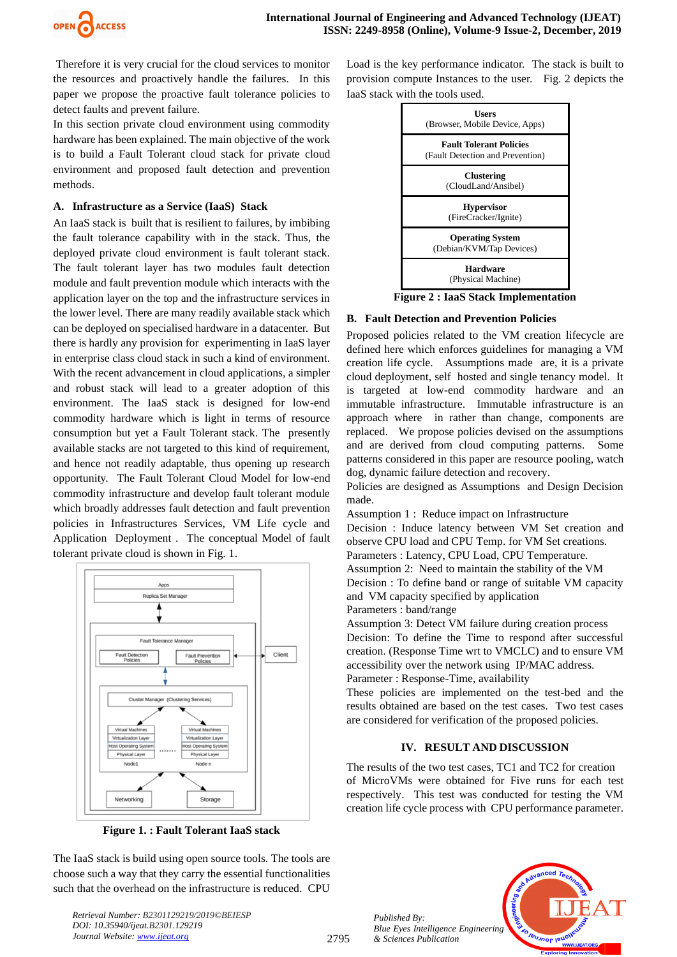

Therefore it is very crucial for the cloud services to monitor the resources and proactively handle the failures. In this paper we propose the proactive fault tolerance policies to detect faults and prevent failure.

In this section private cloud environment using commodity hardware has been explained. The main objective of the work is to build a Fault Tolerant cloud stack for private cloud environment and proposed fault detection and prevention methods.

#### **A. Infrastructure as a Service (IaaS) Stack**

An IaaS stack is built that is resilient to failures, by imbibing the fault tolerance capability with in the stack. Thus, the deployed private cloud environment is fault tolerant stack. The fault tolerant layer has two modules fault detection module and fault prevention module which interacts with the application layer on the top and the infrastructure services in the lower level. There are many readily available stack which can be deployed on specialised hardware in a datacenter. But there is hardly any provision for experimenting in IaaS layer in enterprise class cloud stack in such a kind of environment. With the recent advancement in cloud applications, a simpler and robust stack will lead to a greater adoption of this environment. The IaaS stack is designed for low-end commodity hardware which is light in terms of resource consumption but yet a Fault Tolerant stack. The presently available stacks are not targeted to this kind of requirement, and hence not readily adaptable, thus opening up research opportunity. The Fault Tolerant Cloud Model for low-end commodity infrastructure and develop fault tolerant module which broadly addresses fault detection and fault prevention policies in Infrastructures Services, VM Life cycle and Application Deployment . The conceptual Model of fault tolerant private cloud is shown in Fig. 1.



**Figure 1. : Fault Tolerant IaaS stack**

The IaaS stack is build using open source tools. The tools are choose such a way that they carry the essential functionalities such that the overhead on the infrastructure is reduced. CPU

*Retrieval Number: B2301129219/2019©BEIESP DOI: 10.35940/ijeat.B2301.129219 Journal Website[: www.ijeat.org](http://www.ijeat.org/)*

Load is the key performance indicator. The stack is built to provision compute Instances to the user. Fig. 2 depicts the IaaS stack with the tools used.



**Figure 2 : IaaS Stack Implementation**

## **B. Fault Detection and Prevention Policies**

Proposed policies related to the VM creation lifecycle are defined here which enforces guidelines for managing a VM creation life cycle. Assumptions made are, it is a private cloud deployment, self hosted and single tenancy model. It is targeted at low-end commodity hardware and an immutable infrastructure. Immutable infrastructure is an approach where in rather than change, components are replaced. We propose policies devised on the assumptions and are derived from cloud computing patterns. Some patterns considered in this paper are resource pooling, watch dog, dynamic failure detection and recovery.

Policies are designed as Assumptions and Design Decision made.

Assumption 1 : Reduce impact on Infrastructure

Decision : Induce latency between VM Set creation and observe CPU load and CPU Temp. for VM Set creations. Parameters : Latency, CPU Load, CPU Temperature. Assumption 2: Need to maintain the stability of the VM Decision : To define band or range of suitable VM capacity and VM capacity specified by application Parameters : band/range

Assumption 3: Detect VM failure during creation process Decision: To define the Time to respond after successful creation. (Response Time wrt to VMCLC) and to ensure VM accessibility over the network using IP/MAC address.

Parameter : Response-Time, availability

These policies are implemented on the test-bed and the results obtained are based on the test cases. Two test cases are considered for verification of the proposed policies.

## **IV. RESULT AND DISCUSSION**

The results of the two test cases, TC1 and TC2 for creation of MicroVMs were obtained for Five runs for each test respectively. This test was conducted for testing the VM creation life cycle process with CPU performance parameter.